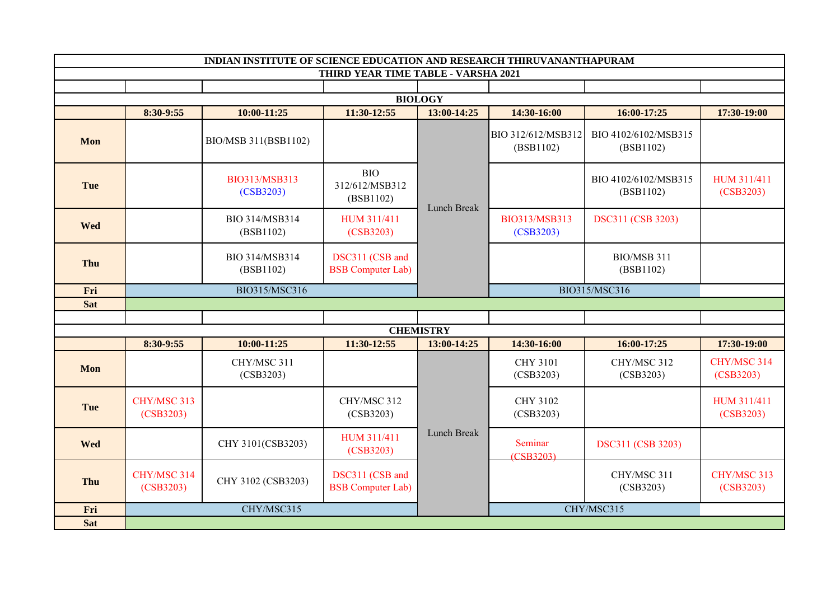| INDIAN INSTITUTE OF SCIENCE EDUCATION AND RESEARCH THIRUVANANTHAPURAM |                          |                             |                                             |                  |                                 |                                   |                          |  |  |  |  |  |
|-----------------------------------------------------------------------|--------------------------|-----------------------------|---------------------------------------------|------------------|---------------------------------|-----------------------------------|--------------------------|--|--|--|--|--|
|                                                                       |                          |                             | THIRD YEAR TIME TABLE - VARSHA 2021         |                  |                                 |                                   |                          |  |  |  |  |  |
|                                                                       |                          |                             |                                             |                  |                                 |                                   |                          |  |  |  |  |  |
|                                                                       |                          |                             |                                             | <b>BIOLOGY</b>   |                                 |                                   |                          |  |  |  |  |  |
|                                                                       | 8:30-9:55                | 10:00-11:25                 | 11:30-12:55                                 | 13:00-14:25      | 14:30-16:00                     | 16:00-17:25                       | 17:30-19:00              |  |  |  |  |  |
| Mon                                                                   |                          | BIO/MSB 311(BSB1102)        |                                             |                  | BIO 312/612/MSB312<br>(BSB1102) | BIO 4102/6102/MSB315<br>(BSB1102) |                          |  |  |  |  |  |
| Tue                                                                   |                          | BIO313/MSB313<br>(CSB3203)  | <b>BIO</b><br>312/612/MSB312<br>(BSB1102)   | Lunch Break      |                                 | BIO 4102/6102/MSB315<br>(BSB1102) | HUM 311/411<br>(CSB3203) |  |  |  |  |  |
| Wed                                                                   |                          | BIO 314/MSB314<br>(BSB1102) | HUM 311/411<br>(CSB3203)                    |                  | BIO313/MSB313<br>(CSB3203)      | DSC311 (CSB 3203)                 |                          |  |  |  |  |  |
| Thu                                                                   |                          | BIO 314/MSB314<br>(BSB1102) | DSC311 (CSB and<br><b>BSB</b> Computer Lab) |                  |                                 | BIO/MSB 311<br>(BSB1102)          |                          |  |  |  |  |  |
| Fri                                                                   | BIO315/MSC316            |                             |                                             |                  | BIO315/MSC316                   |                                   |                          |  |  |  |  |  |
| <b>Sat</b>                                                            |                          |                             |                                             |                  |                                 |                                   |                          |  |  |  |  |  |
|                                                                       |                          |                             |                                             |                  |                                 |                                   |                          |  |  |  |  |  |
|                                                                       |                          |                             |                                             | <b>CHEMISTRY</b> |                                 |                                   |                          |  |  |  |  |  |
|                                                                       | 8:30-9:55                | $10:00 - 11:25$             | 11:30-12:55                                 | 13:00-14:25      | 14:30-16:00                     | 16:00-17:25                       | 17:30-19:00              |  |  |  |  |  |
| Mon                                                                   |                          | CHY/MSC 311<br>(CSB3203)    |                                             |                  | <b>CHY 3101</b><br>(CSB3203)    | CHY/MSC 312<br>(CSB3203)          | CHY/MSC 314<br>(CSB3203) |  |  |  |  |  |
| Tue                                                                   | CHY/MSC 313<br>(CSB3203) |                             | CHY/MSC 312<br>(CSB3203)                    |                  | <b>CHY 3102</b><br>(CSB3203)    |                                   | HUM 311/411<br>(CSB3203) |  |  |  |  |  |
| Wed                                                                   |                          | CHY 3101(CSB3203)           | HUM 311/411<br>(CSB3203)                    | Lunch Break      | Seminar<br>(CSB3203)            | DSC311 (CSB 3203)                 |                          |  |  |  |  |  |
| Thu                                                                   | CHY/MSC 314<br>(CSB3203) | CHY 3102 (CSB3203)          | DSC311 (CSB and<br><b>BSB</b> Computer Lab) |                  |                                 | CHY/MSC 311<br>(CSB3203)          | CHY/MSC 313<br>(CSB3203) |  |  |  |  |  |
| Fri                                                                   |                          | CHY/MSC315                  |                                             |                  |                                 | CHY/MSC315                        |                          |  |  |  |  |  |
| <b>Sat</b>                                                            |                          |                             |                                             |                  |                                 |                                   |                          |  |  |  |  |  |